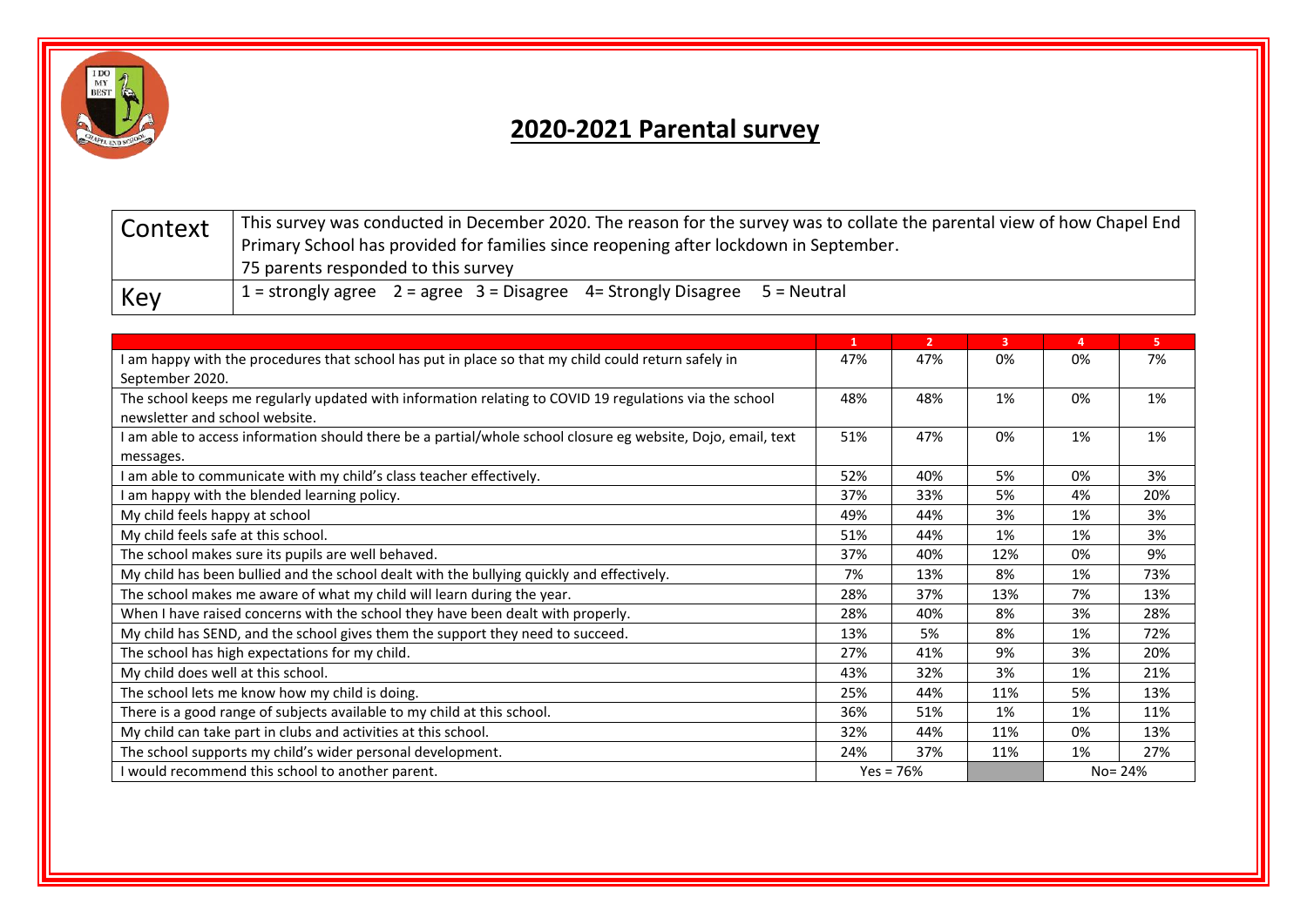

## **2020-2021 Parental survey**

| Context | This survey was conducted in December 2020. The reason for the survey was to collate the parental view of how Chapel End<br>Primary School has provided for families since reopening after lockdown in September.<br>75 parents responded to this survey |  |  |  |  |
|---------|----------------------------------------------------------------------------------------------------------------------------------------------------------------------------------------------------------------------------------------------------------|--|--|--|--|
| Key     | 1 = strongly agree $2 =$ agree $3 =$ Disagree 4 = Strongly Disagree $5 =$ Neutral                                                                                                                                                                        |  |  |  |  |

|                                                                                                              | $\mathbf{1}$ | $\overline{2}$ | $\overline{\mathbf{3}}$ | 4       | 5.  |
|--------------------------------------------------------------------------------------------------------------|--------------|----------------|-------------------------|---------|-----|
| I am happy with the procedures that school has put in place so that my child could return safely in          |              | 47%            | 0%                      | 0%      | 7%  |
| September 2020.                                                                                              |              |                |                         |         |     |
| The school keeps me regularly updated with information relating to COVID 19 regulations via the school       |              | 48%            | 1%                      | 0%      | 1%  |
| newsletter and school website.                                                                               |              |                |                         |         |     |
| I am able to access information should there be a partial/whole school closure eg website, Dojo, email, text |              | 47%            | 0%                      | 1%      | 1%  |
| messages.                                                                                                    |              |                |                         |         |     |
| I am able to communicate with my child's class teacher effectively.                                          |              | 40%            | 5%                      | 0%      | 3%  |
| am happy with the blended learning policy.                                                                   |              | 33%            | 5%                      | 4%      | 20% |
| My child feels happy at school                                                                               |              | 44%            | 3%                      | 1%      | 3%  |
| My child feels safe at this school.                                                                          |              | 44%            | 1%                      | 1%      | 3%  |
| The school makes sure its pupils are well behaved.                                                           |              | 40%            | 12%                     | 0%      | 9%  |
| My child has been bullied and the school dealt with the bullying quickly and effectively.                    |              | 13%            | 8%                      | 1%      | 73% |
| The school makes me aware of what my child will learn during the year.                                       |              | 37%            | 13%                     | 7%      | 13% |
| When I have raised concerns with the school they have been dealt with properly.                              |              | 40%            | 8%                      | 3%      | 28% |
| My child has SEND, and the school gives them the support they need to succeed.                               |              | 5%             | 8%                      | 1%      | 72% |
| The school has high expectations for my child.                                                               |              | 41%            | 9%                      | 3%      | 20% |
| My child does well at this school.                                                                           |              | 32%            | 3%                      | 1%      | 21% |
| The school lets me know how my child is doing.                                                               |              | 44%            | 11%                     | 5%      | 13% |
| There is a good range of subjects available to my child at this school.                                      |              | 51%            | 1%                      | 1%      | 11% |
| My child can take part in clubs and activities at this school.                                               |              | 44%            | 11%                     | 0%      | 13% |
| The school supports my child's wider personal development.                                                   |              | 37%            | 11%                     | 1%      | 27% |
| I would recommend this school to another parent.                                                             |              | $Yes = 76%$    |                         | No= 24% |     |